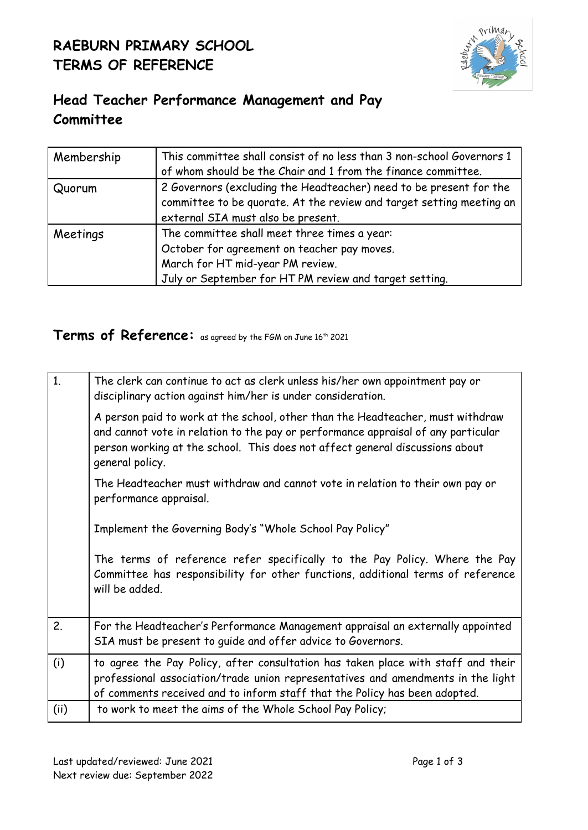## **RAEBURN PRIMARY SCHOOL TERMS OF REFERENCE**



## **Head Teacher Performance Management and Pay Committee**

| Membership | This committee shall consist of no less than 3 non-school Governors 1<br>of whom should be the Chair and 1 from the finance committee. |
|------------|----------------------------------------------------------------------------------------------------------------------------------------|
| Quorum     | 2 Governors (excluding the Headteacher) need to be present for the                                                                     |
|            | committee to be quorate. At the review and target setting meeting an                                                                   |
|            | external SIA must also be present.                                                                                                     |
| Meetings   | The committee shall meet three times a year:                                                                                           |
|            | October for agreement on teacher pay moves.                                                                                            |
|            | March for HT mid-year PM review.                                                                                                       |
|            | July or September for HT PM review and target setting.                                                                                 |

## **Terms of Reference:** as agreed by the FGM on June <sup>16</sup> th 2021

| 1.  | The clerk can continue to act as clerk unless his/her own appointment pay or<br>disciplinary action against him/her is under consideration.                                                                                                                            |
|-----|------------------------------------------------------------------------------------------------------------------------------------------------------------------------------------------------------------------------------------------------------------------------|
|     | A person paid to work at the school, other than the Headteacher, must withdraw<br>and cannot vote in relation to the pay or performance appraisal of any particular<br>person working at the school. This does not affect general discussions about<br>general policy. |
|     | The Headteacher must withdraw and cannot vote in relation to their own pay or<br>performance appraisal.                                                                                                                                                                |
|     | Implement the Governing Body's "Whole School Pay Policy"                                                                                                                                                                                                               |
|     | The terms of reference refer specifically to the Pay Policy. Where the Pay<br>Committee has responsibility for other functions, additional terms of reference<br>will be added.                                                                                        |
| 2.  | For the Headteacher's Performance Management appraisal an externally appointed<br>SIA must be present to guide and offer advice to Governors.                                                                                                                          |
| (i) | to agree the Pay Policy, after consultation has taken place with staff and their<br>professional association/trade union representatives and amendments in the light<br>of comments received and to inform staff that the Policy has been adopted.                     |
| (i) | to work to meet the aims of the Whole School Pay Policy;                                                                                                                                                                                                               |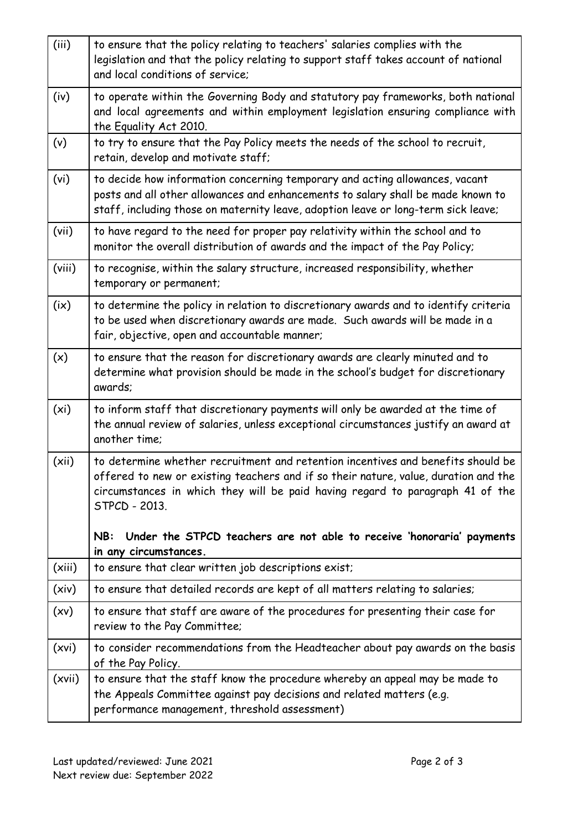| (iii)             | to ensure that the policy relating to teachers' salaries complies with the<br>legislation and that the policy relating to support staff takes account of national<br>and local conditions of service;                                                                     |
|-------------------|---------------------------------------------------------------------------------------------------------------------------------------------------------------------------------------------------------------------------------------------------------------------------|
| (iv)              | to operate within the Governing Body and statutory pay frameworks, both national<br>and local agreements and within employment legislation ensuring compliance with<br>the Equality Act 2010.                                                                             |
| (v)               | to try to ensure that the Pay Policy meets the needs of the school to recruit,<br>retain, develop and motivate staff;                                                                                                                                                     |
| (vi)              | to decide how information concerning temporary and acting allowances, vacant<br>posts and all other allowances and enhancements to salary shall be made known to<br>staff, including those on maternity leave, adoption leave or long-term sick leave;                    |
| (vii)             | to have regard to the need for proper pay relativity within the school and to<br>monitor the overall distribution of awards and the impact of the Pay Policy;                                                                                                             |
| (viii)            | to recognise, within the salary structure, increased responsibility, whether<br>temporary or permanent;                                                                                                                                                                   |
| (ix)              | to determine the policy in relation to discretionary awards and to identify criteria<br>to be used when discretionary awards are made. Such awards will be made in a<br>fair, objective, open and accountable manner;                                                     |
| (x)               | to ensure that the reason for discretionary awards are clearly minuted and to<br>determine what provision should be made in the school's budget for discretionary<br>awards;                                                                                              |
| (x <sub>i</sub> ) | to inform staff that discretionary payments will only be awarded at the time of<br>the annual review of salaries, unless exceptional circumstances justify an award at<br>another time;                                                                                   |
| (xii)             | to determine whether recruitment and retention incentives and benefits should be<br>offered to new or existing teachers and if so their nature, value, duration and the<br>circumstances in which they will be paid having regard to paragraph 41 of the<br>STPCD - 2013. |
|                   | Under the STPCD teachers are not able to receive 'honoraria' payments<br>NB:<br>in any circumstances.                                                                                                                                                                     |
| (xiii)            | to ensure that clear written job descriptions exist;                                                                                                                                                                                                                      |
| (xiv)             | to ensure that detailed records are kept of all matters relating to salaries;                                                                                                                                                                                             |
| (xv)              | to ensure that staff are aware of the procedures for presenting their case for<br>review to the Pay Committee;                                                                                                                                                            |
| (xvi)             | to consider recommendations from the Headteacher about pay awards on the basis<br>of the Pay Policy.                                                                                                                                                                      |
| (xvii)            | to ensure that the staff know the procedure whereby an appeal may be made to<br>the Appeals Committee against pay decisions and related matters (e.g.<br>performance management, threshold assessment)                                                                    |